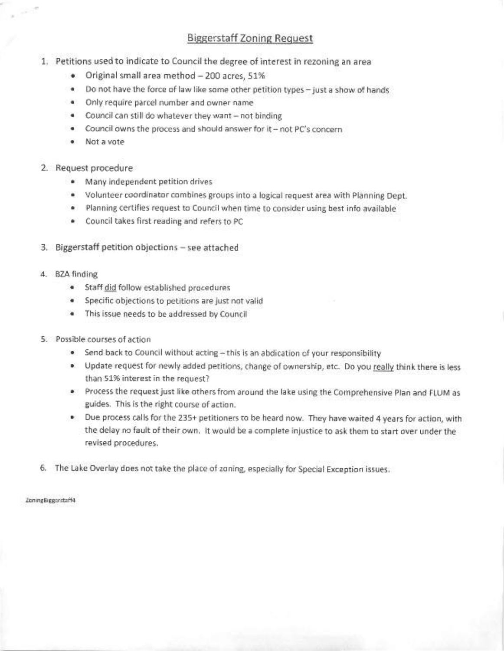## **Biggerstaff Zoning Request**

- 1. Petitions used to indicate to Council the degree of interest in rezoning an area
	- Original small area method 200 acres, 51%
	- . Do not have the force of law like some other petition types just a show of hands
	- . Only require parcel number and owner name
	- . Council can still do whatever they want not binding
	- . Council owns the process and should answer for it not PC's concern
	- $\bullet$ Not a vote
- 2. Request procedure
	- · Many independent petition drives
	- . Volunteer coordinator combines groups into a logical request area with Planning Dept.
	- . Planning certifies request to Council when time to consider using best info available
	- Council takes first reading and refers to PC
- 3. Biggerstaff petition objections see attached
- 4. BZA finding
	- · Staff did follow established procedures
	- · Specific objections to petitions are just not valid
	- · This issue needs to be addressed by Council
- 5. Possible courses of action
	- · Send back to Council without acting this is an abdication of your responsibility
	- · Update request for newly added petitions, change of ownership, etc. Do you really think there is less than 51% interest in the request?
	- . Process the request just like others from around the lake using the Comprehensive Plan and FLUM as guides. This is the right course of action.
	- Due process calls for the 235+ petitioners to be heard now. They have waited 4 years for action, with the delay no fault of their own. It would be a complete injustice to ask them to start over under the revised procedures.
- 6. The Lake Overlay does not take the place of zoning, especially for Special Exception issues.

ZoningBiggerstaff4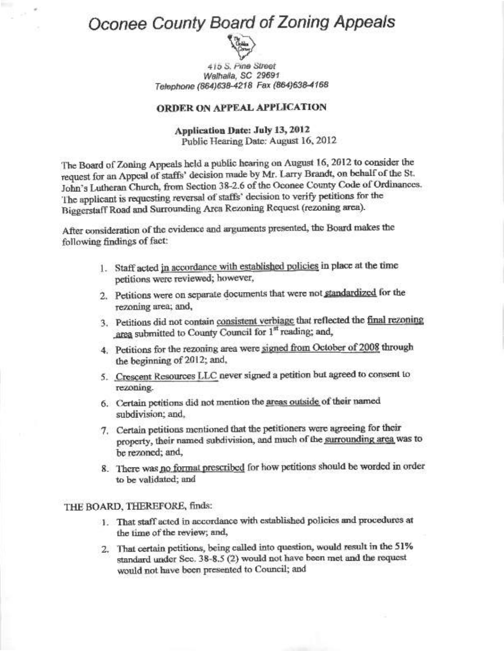# Oconee County Board of Zoning Appeals



415 S. Pine Street Walhalla, SC 29691 Telephone (864)638-4218 Fax (864)638-4168

#### **ORDER ON APPEAL APPLICATION**

**Application Date: July 13, 2012** Public Hearing Date: August 16, 2012

The Board of Zoning Appeals held a public hearing on August 16, 2012 to consider the request for an Appeal of staffs' decision made by Mr. Larry Brandt, on behalf of the St. John's Lutheran Church, from Section 38-2.6 of the Oconee County Code of Ordinances. The applicant is requesting reversal of staffs' decision to verify petitions for the Biggerstaff Road and Surrounding Area Rezoning Request (rezoning area).

After consideration of the evidence and arguments presented, the Board makes the following findings of fact:

- 1. Staff acted in accordance with established policies in place at the time petitions were reviewed; however,
- 2. Petitions were on separate documents that were not standardized for the rezoning area; and,
- 3. Petitions did not contain consistent verbiage that reflected the final rezoning area submitted to County Council for 1st reading; and,
- 4. Petitions for the rezoning area were signed from October of 2008 through the beginning of 2012; and,
- 5. Crescent Resources LLC never signed a petition but agreed to consent to rezoning.
- 6. Certain petitions did not mention the areas outside of their named subdivision; and,
- 7. Certain petitions mentioned that the petitioners were agreeing for their property, their named subdivision, and much of the surrounding area was to be rezoned; and,
- 8. There was no format prescribed for how petitions should be worded in order to be validated; and

#### THE BOARD, THEREFORE, finds:

¥

- 1. That staff acted in accordance with established policies and procedures at the time of the review; and,
- 2. That certain petitions, being called into question, would result in the 51% standard under Sec. 38-8.5 (2) would not have been met and the request would not have been presented to Council; and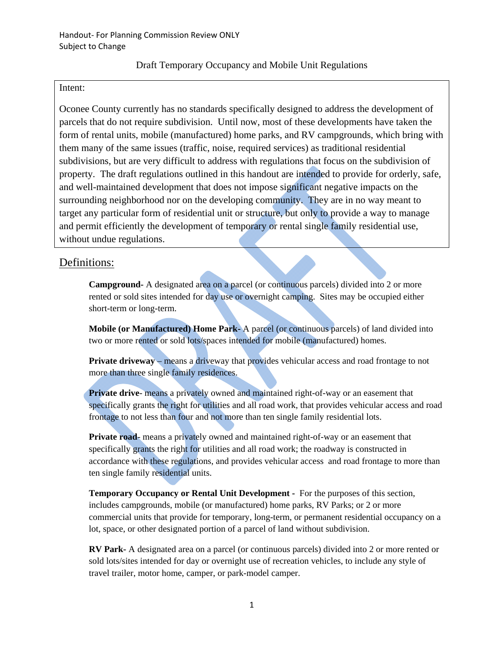## Draft Temporary Occupancy and Mobile Unit Regulations

#### Intent:

Oconee County currently has no standards specifically designed to address the development of parcels that do not require subdivision. Until now, most of these developments have taken the form of rental units, mobile (manufactured) home parks, and RV campgrounds, which bring with them many of the same issues (traffic, noise, required services) as traditional residential subdivisions, but are very difficult to address with regulations that focus on the subdivision of property. The draft regulations outlined in this handout are intended to provide for orderly, safe, and well-maintained development that does not impose significant negative impacts on the surrounding neighborhood nor on the developing community. They are in no way meant to target any particular form of residential unit or structure, but only to provide a way to manage and permit efficiently the development of temporary or rental single family residential use, without undue regulations.

## Definitions:

**Campground-** A designated area on a parcel (or continuous parcels) divided into 2 or more rented or sold sites intended for day use or overnight camping. Sites may be occupied either short-term or long-term.

**Mobile (or Manufactured) Home Park-** A parcel (or continuous parcels) of land divided into two or more rented or sold lots/spaces intended for mobile (manufactured) homes.

**Private driveway** – means a driveway that provides vehicular access and road frontage to not more than three single family residences.

**Private drive**- means a privately owned and maintained right-of-way or an easement that specifically grants the right for utilities and all road work, that provides vehicular access and road frontage to not less than four and not more than ten single family residential lots.

**Private road**- means a privately owned and maintained right-of-way or an easement that specifically grants the right for utilities and all road work; the roadway is constructed in accordance with these regulations, and provides vehicular access and road frontage to more than ten single family residential units.

**Temporary Occupancy or Rental Unit Development -** For the purposes of this section, includes campgrounds, mobile (or manufactured) home parks, RV Parks; or 2 or more commercial units that provide for temporary, long-term, or permanent residential occupancy on a lot, space, or other designated portion of a parcel of land without subdivision.

**RV Park-** A designated area on a parcel (or continuous parcels) divided into 2 or more rented or sold lots/sites intended for day or overnight use of recreation vehicles, to include any style of travel trailer, motor home, camper, or park-model camper.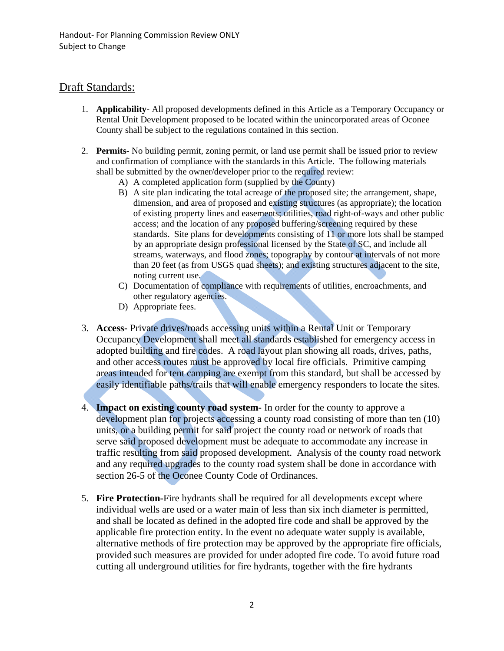### Draft Standards:

- 1. **Applicability-** All proposed developments defined in this Article as a Temporary Occupancy or Rental Unit Development proposed to be located within the unincorporated areas of Oconee County shall be subject to the regulations contained in this section.
- 2. **Permits-** No building permit, zoning permit, or land use permit shall be issued prior to review and confirmation of compliance with the standards in this Article. The following materials shall be submitted by the owner/developer prior to the required review:
	- A) A completed application form (supplied by the County)
	- B) A site plan indicating the total acreage of the proposed site; the arrangement, shape, dimension, and area of proposed and existing structures (as appropriate); the location of existing property lines and easements; utilities, road right-of-ways and other public access; and the location of any proposed buffering/screening required by these standards. Site plans for developments consisting of 11 or more lots shall be stamped by an appropriate design professional licensed by the State of SC, and include all streams, waterways, and flood zones; topography by contour at intervals of not more than 20 feet (as from USGS quad sheets); and existing structures adjacent to the site, noting current use.
	- C) Documentation of compliance with requirements of utilities, encroachments, and other regulatory agencies.
	- D) Appropriate fees.
- 3. **Access-** Private drives/roads accessing units within a Rental Unit or Temporary Occupancy Development shall meet all standards established for emergency access in adopted building and fire codes. A road layout plan showing all roads, drives, paths, and other access routes must be approved by local fire officials. Primitive camping areas intended for tent camping are exempt from this standard, but shall be accessed by easily identifiable paths/trails that will enable emergency responders to locate the sites.
- 4. **Impact on existing county road system-** In order for the county to approve a development plan for projects accessing a county road consisting of more than ten (10) units, or a building permit for said project the county road or network of roads that serve said proposed development must be adequate to accommodate any increase in traffic resulting from said proposed development. Analysis of the county road network and any required upgrades to the county road system shall be done in accordance with section 26-5 of the Oconee County Code of Ordinances.
- 5. **Fire Protection-**Fire hydrants shall be required for all developments except where individual wells are used or a water main of less than six inch diameter is permitted, and shall be located as defined in the adopted fire code and shall be approved by the applicable fire protection entity. In the event no adequate water supply is available, alternative methods of fire protection may be approved by the appropriate fire officials, provided such measures are provided for under adopted fire code. To avoid future road cutting all underground utilities for fire hydrants, together with the fire hydrants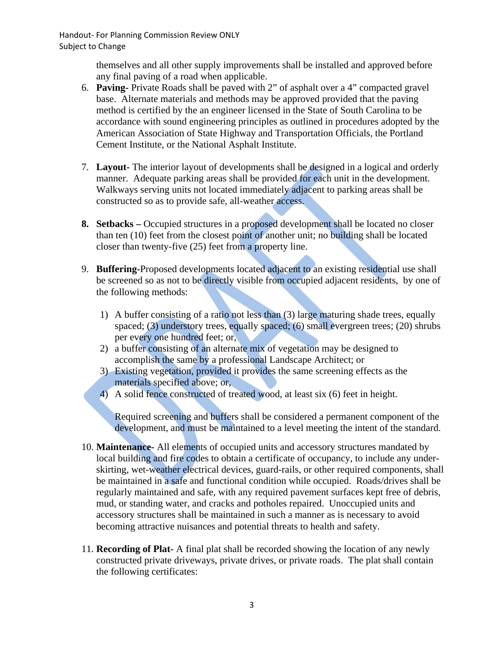Handout‐ For Planning Commission Review ONLY Subject to Change

> themselves and all other supply improvements shall be installed and approved before any final paving of a road when applicable.

- 6. **Paving-** Private Roads shall be paved with 2" of asphalt over a 4" compacted gravel base. Alternate materials and methods may be approved provided that the paving method is certified by the an engineer licensed in the State of South Carolina to be accordance with sound engineering principles as outlined in procedures adopted by the American Association of State Highway and Transportation Officials, the Portland Cement Institute, or the National Asphalt Institute.
- 7. **Layout-** The interior layout of developments shall be designed in a logical and orderly manner. Adequate parking areas shall be provided for each unit in the development. Walkways serving units not located immediately adjacent to parking areas shall be constructed so as to provide safe, all-weather access.
- **8. Setbacks –** Occupied structures in a proposed development shall be located no closer than ten (10) feet from the closest point of another unit; no building shall be located closer than twenty-five (25) feet from a property line.
- 9. **Buffering-**Proposed developments located adjacent to an existing residential use shall be screened so as not to be directly visible from occupied adjacent residents, by one of the following methods:
	- 1) A buffer consisting of a ratio not less than (3) large maturing shade trees, equally spaced; (3) understory trees, equally spaced; (6) small evergreen trees; (20) shrubs per every one hundred feet; or,
	- 2) a buffer consisting of an alternate mix of vegetation may be designed to accomplish the same by a professional Landscape Architect; or
	- 3) Existing vegetation, provided it provides the same screening effects as the materials specified above; or,
	- 4) A solid fence constructed of treated wood, at least six (6) feet in height.

Required screening and buffers shall be considered a permanent component of the development, and must be maintained to a level meeting the intent of the standard.

- 10. **Maintenance-** All elements of occupied units and accessory structures mandated by local building and fire codes to obtain a certificate of occupancy, to include any underskirting, wet-weather electrical devices, guard-rails, or other required components, shall be maintained in a safe and functional condition while occupied. Roads/drives shall be regularly maintained and safe, with any required pavement surfaces kept free of debris, mud, or standing water, and cracks and potholes repaired. Unoccupied units and accessory structures shall be maintained in such a manner as is necessary to avoid becoming attractive nuisances and potential threats to health and safety.
- 11. **Recording of Plat-** A final plat shall be recorded showing the location of any newly constructed private driveways, private drives, or private roads. The plat shall contain the following certificates: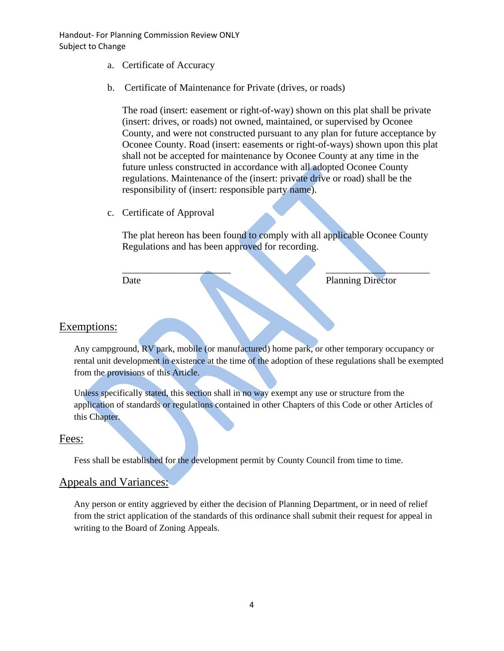Handout‐ For Planning Commission Review ONLY Subject to Change

- a. Certificate of Accuracy
- b. Certificate of Maintenance for Private (drives, or roads)

The road (insert: easement or right-of-way) shown on this plat shall be private (insert: drives, or roads) not owned, maintained, or supervised by Oconee County, and were not constructed pursuant to any plan for future acceptance by Oconee County. Road (insert: easements or right-of-ways) shown upon this plat shall not be accepted for maintenance by Oconee County at any time in the future unless constructed in accordance with all adopted Oconee County regulations. Maintenance of the (insert: private drive or road) shall be the responsibility of (insert: responsible party name).

c. Certificate of Approval

The plat hereon has been found to comply with all applicable Oconee County Regulations and has been approved for recording.

 $\qquad \qquad \blacksquare$ 

Date Planning Director

## Exemptions:

Any campground, RV park, mobile (or manufactured) home park, or other temporary occupancy or rental unit development in existence at the time of the adoption of these regulations shall be exempted from the provisions of this Article.

Unless specifically stated, this section shall in no way exempt any use or structure from the application of standards or regulations contained in other Chapters of this Code or other Articles of this Chapter.

#### Fees:

Fess shall be established for the development permit by County Council from time to time.

#### Appeals and Variances:

Any person or entity aggrieved by either the decision of Planning Department, or in need of relief from the strict application of the standards of this ordinance shall submit their request for appeal in writing to the Board of Zoning Appeals.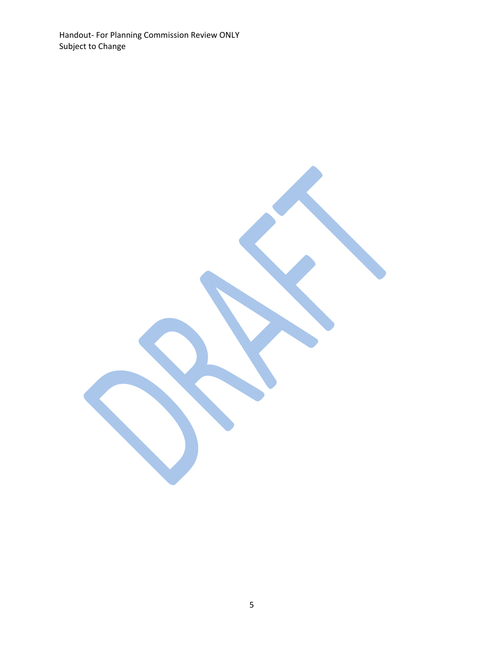Handout‐ For Planning Commission Review ONLY Subject to Change

5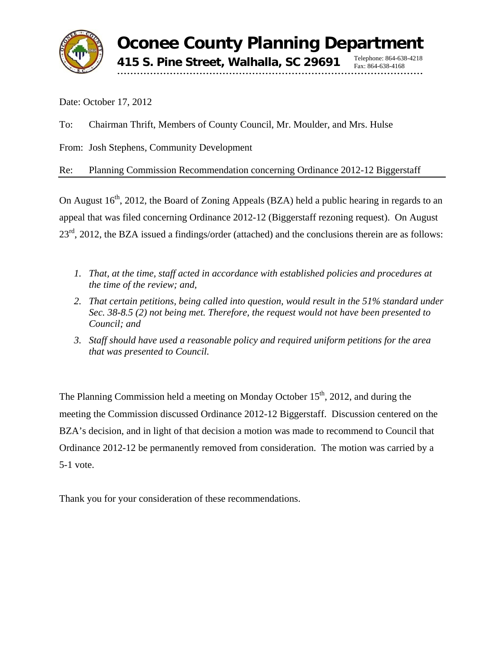

Date: October 17, 2012

To: Chairman Thrift, Members of County Council, Mr. Moulder, and Mrs. Hulse

From: Josh Stephens, Community Development

Re: Planning Commission Recommendation concerning Ordinance 2012-12 Biggerstaff

On August  $16<sup>th</sup>$ , 2012, the Board of Zoning Appeals (BZA) held a public hearing in regards to an appeal that was filed concerning Ordinance 2012-12 (Biggerstaff rezoning request). On August 23<sup>rd</sup>, 2012, the BZA issued a findings/order (attached) and the conclusions therein are as follows:

- *1. That, at the time, staff acted in accordance with established policies and procedures at the time of the review; and,*
- *2. That certain petitions, being called into question, would result in the 51% standard under Sec. 38-8.5 (2) not being met. Therefore, the request would not have been presented to Council; and*
- *3. Staff should have used a reasonable policy and required uniform petitions for the area that was presented to Council.*

The Planning Commission held a meeting on Monday October  $15<sup>th</sup>$ , 2012, and during the meeting the Commission discussed Ordinance 2012-12 Biggerstaff. Discussion centered on the BZA's decision, and in light of that decision a motion was made to recommend to Council that Ordinance 2012-12 be permanently removed from consideration. The motion was carried by a 5-1 vote.

Thank you for your consideration of these recommendations.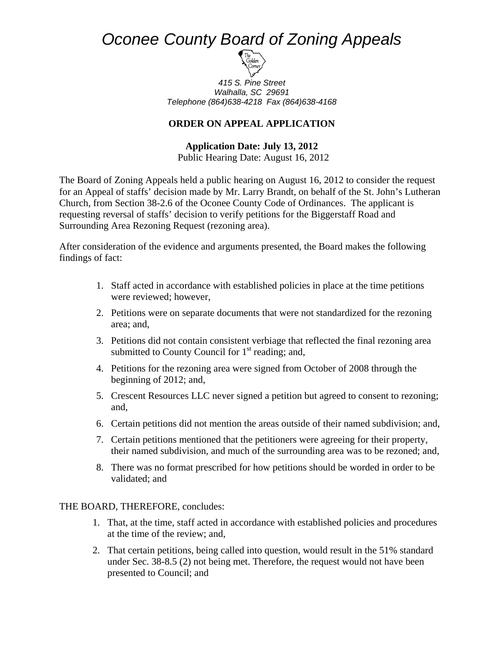## *Oconee County Board of Zoning Appeals*



*415 S. Pine Street Walhalla, SC 29691 Telephone (864)638-4218 Fax (864)638-4168* 

#### **ORDER ON APPEAL APPLICATION**

## **Application Date: July 13, 2012**

Public Hearing Date: August 16, 2012

The Board of Zoning Appeals held a public hearing on August 16, 2012 to consider the request for an Appeal of staffs' decision made by Mr. Larry Brandt, on behalf of the St. John's Lutheran Church, from Section 38-2.6 of the Oconee County Code of Ordinances. The applicant is requesting reversal of staffs' decision to verify petitions for the Biggerstaff Road and Surrounding Area Rezoning Request (rezoning area).

After consideration of the evidence and arguments presented, the Board makes the following findings of fact:

- 1. Staff acted in accordance with established policies in place at the time petitions were reviewed; however,
- 2. Petitions were on separate documents that were not standardized for the rezoning area; and,
- 3. Petitions did not contain consistent verbiage that reflected the final rezoning area submitted to County Council for  $1<sup>st</sup>$  reading; and,
- 4. Petitions for the rezoning area were signed from October of 2008 through the beginning of 2012; and,
- 5. Crescent Resources LLC never signed a petition but agreed to consent to rezoning; and,
- 6. Certain petitions did not mention the areas outside of their named subdivision; and,
- 7. Certain petitions mentioned that the petitioners were agreeing for their property, their named subdivision, and much of the surrounding area was to be rezoned; and,
- 8. There was no format prescribed for how petitions should be worded in order to be validated; and

#### THE BOARD, THEREFORE, concludes:

- 1. That, at the time, staff acted in accordance with established policies and procedures at the time of the review; and,
- 2. That certain petitions, being called into question, would result in the 51% standard under Sec. 38-8.5 (2) not being met. Therefore, the request would not have been presented to Council; and